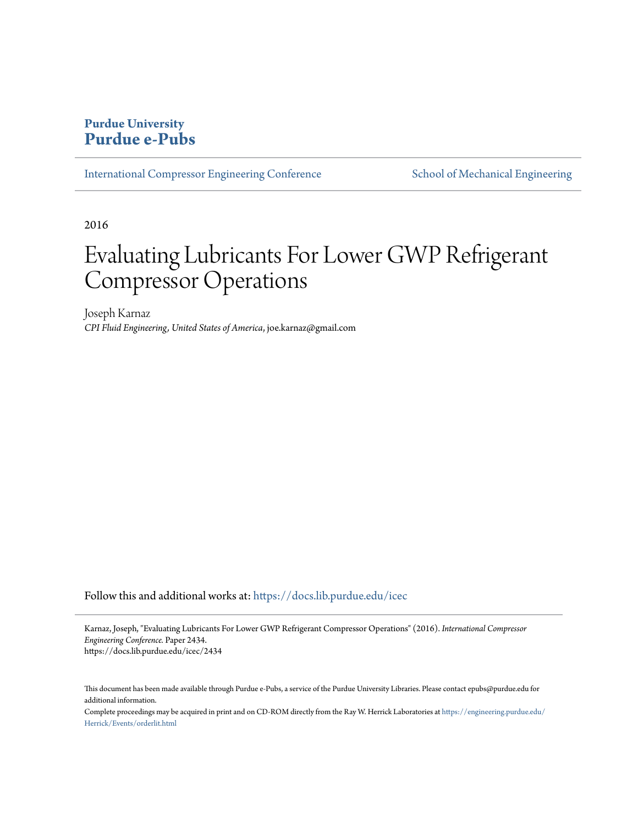# **Purdue University [Purdue e-Pubs](https://docs.lib.purdue.edu?utm_source=docs.lib.purdue.edu%2Ficec%2F2434&utm_medium=PDF&utm_campaign=PDFCoverPages)**

[International Compressor Engineering Conference](https://docs.lib.purdue.edu/icec?utm_source=docs.lib.purdue.edu%2Ficec%2F2434&utm_medium=PDF&utm_campaign=PDFCoverPages) [School of Mechanical Engineering](https://docs.lib.purdue.edu/me?utm_source=docs.lib.purdue.edu%2Ficec%2F2434&utm_medium=PDF&utm_campaign=PDFCoverPages)

2016

# Evaluating Lubricants For Lower GWP Refrigerant Compressor Operations

Joseph Karnaz *CPI Fluid Engineering, United States of America*, joe.karnaz@gmail.com

Follow this and additional works at: [https://docs.lib.purdue.edu/icec](https://docs.lib.purdue.edu/icec?utm_source=docs.lib.purdue.edu%2Ficec%2F2434&utm_medium=PDF&utm_campaign=PDFCoverPages)

Karnaz, Joseph, "Evaluating Lubricants For Lower GWP Refrigerant Compressor Operations" (2016). *International Compressor Engineering Conference.* Paper 2434. https://docs.lib.purdue.edu/icec/2434

This document has been made available through Purdue e-Pubs, a service of the Purdue University Libraries. Please contact epubs@purdue.edu for additional information.

Complete proceedings may be acquired in print and on CD-ROM directly from the Ray W. Herrick Laboratories at [https://engineering.purdue.edu/](https://engineering.purdue.edu/Herrick/Events/orderlit.html) [Herrick/Events/orderlit.html](https://engineering.purdue.edu/Herrick/Events/orderlit.html)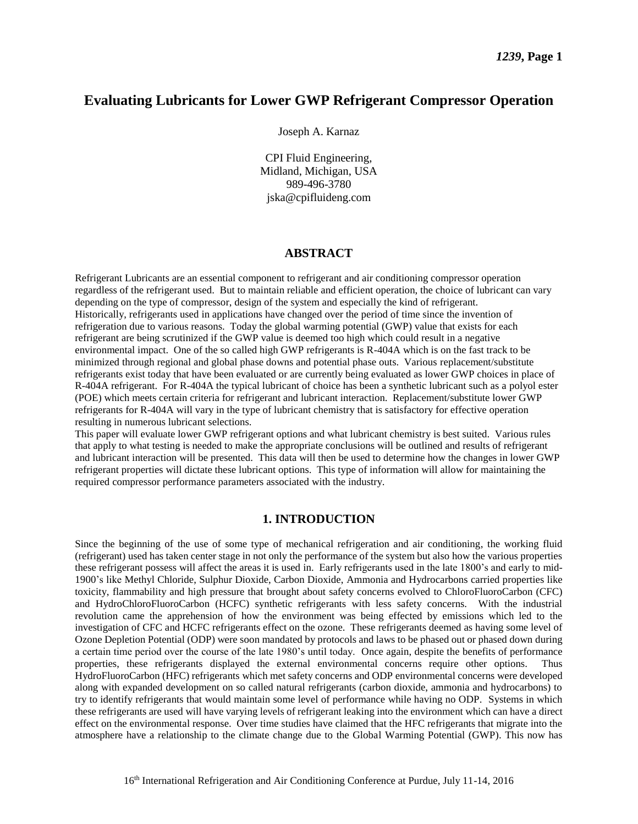## **Evaluating Lubricants for Lower GWP Refrigerant Compressor Operation**

Joseph A. Karnaz

CPI Fluid Engineering, Midland, Michigan, USA 989-496-3780 jska@cpifluideng.com

### **ABSTRACT**

Refrigerant Lubricants are an essential component to refrigerant and air conditioning compressor operation regardless of the refrigerant used. But to maintain reliable and efficient operation, the choice of lubricant can vary depending on the type of compressor, design of the system and especially the kind of refrigerant. Historically, refrigerants used in applications have changed over the period of time since the invention of refrigeration due to various reasons. Today the global warming potential (GWP) value that exists for each refrigerant are being scrutinized if the GWP value is deemed too high which could result in a negative environmental impact. One of the so called high GWP refrigerants is R-404A which is on the fast track to be minimized through regional and global phase downs and potential phase outs. Various replacement/substitute refrigerants exist today that have been evaluated or are currently being evaluated as lower GWP choices in place of R-404A refrigerant. For R-404A the typical lubricant of choice has been a synthetic lubricant such as a polyol ester (POE) which meets certain criteria for refrigerant and lubricant interaction. Replacement/substitute lower GWP refrigerants for R-404A will vary in the type of lubricant chemistry that is satisfactory for effective operation resulting in numerous lubricant selections.

This paper will evaluate lower GWP refrigerant options and what lubricant chemistry is best suited. Various rules that apply to what testing is needed to make the appropriate conclusions will be outlined and results of refrigerant and lubricant interaction will be presented. This data will then be used to determine how the changes in lower GWP refrigerant properties will dictate these lubricant options. This type of information will allow for maintaining the required compressor performance parameters associated with the industry.

#### **1. INTRODUCTION**

Since the beginning of the use of some type of mechanical refrigeration and air conditioning, the working fluid (refrigerant) used has taken center stage in not only the performance of the system but also how the various properties these refrigerant possess will affect the areas it is used in. Early refrigerants used in the late 1800's and early to mid-1900's like Methyl Chloride, Sulphur Dioxide, Carbon Dioxide, Ammonia and Hydrocarbons carried properties like toxicity, flammability and high pressure that brought about safety concerns evolved to ChloroFluoroCarbon (CFC) and HydroChloroFluoroCarbon (HCFC) synthetic refrigerants with less safety concerns. With the industrial revolution came the apprehension of how the environment was being effected by emissions which led to the investigation of CFC and HCFC refrigerants effect on the ozone. These refrigerants deemed as having some level of Ozone Depletion Potential (ODP) were soon mandated by protocols and laws to be phased out or phased down during a certain time period over the course of the late 1980's until today. Once again, despite the benefits of performance properties, these refrigerants displayed the external environmental concerns require other options. Thus HydroFluoroCarbon (HFC) refrigerants which met safety concerns and ODP environmental concerns were developed along with expanded development on so called natural refrigerants (carbon dioxide, ammonia and hydrocarbons) to try to identify refrigerants that would maintain some level of performance while having no ODP. Systems in which these refrigerants are used will have varying levels of refrigerant leaking into the environment which can have a direct effect on the environmental response. Over time studies have claimed that the HFC refrigerants that migrate into the atmosphere have a relationship to the climate change due to the Global Warming Potential (GWP). This now has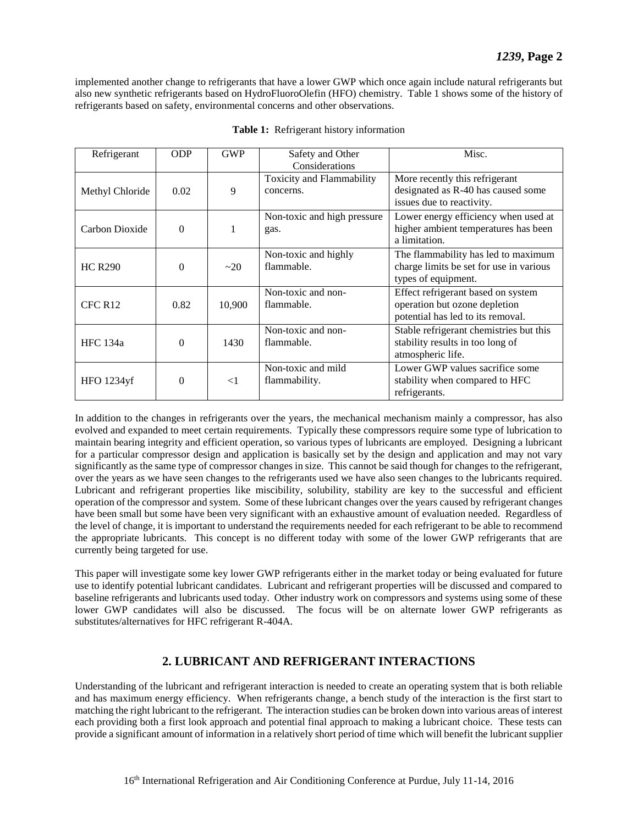implemented another change to refrigerants that have a lower GWP which once again include natural refrigerants but also new synthetic refrigerants based on HydroFluoroOlefin (HFO) chemistry. Table 1 shows some of the history of refrigerants based on safety, environmental concerns and other observations.

| Refrigerant         | <b>ODP</b>     | <b>GWP</b> | Safety and Other                              | Misc.                                                                                                    |
|---------------------|----------------|------------|-----------------------------------------------|----------------------------------------------------------------------------------------------------------|
|                     |                |            | Considerations                                |                                                                                                          |
| Methyl Chloride     | 0.02           | 9          | <b>Toxicity and Flammability</b><br>concerns. | More recently this refrigerant<br>designated as R-40 has caused some<br>issues due to reactivity.        |
| Carbon Dioxide      | $\overline{0}$ | 1          | Non-toxic and high pressure<br>gas.           | Lower energy efficiency when used at<br>higher ambient temperatures has been<br>a limitation.            |
| <b>HC R290</b>      | $\theta$       | $\sim$ 20  | Non-toxic and highly<br>flammable.            | The flammability has led to maximum<br>charge limits be set for use in various<br>types of equipment.    |
| CFC R <sub>12</sub> | 0.82           | 10,900     | Non-toxic and non-<br>flammable.              | Effect refrigerant based on system<br>operation but ozone depletion<br>potential has led to its removal. |
| <b>HFC</b> 134a     | $\overline{0}$ | 1430       | Non-toxic and non-<br>flammable.              | Stable refrigerant chemistries but this<br>stability results in too long of<br>atmospheric life.         |
| HFO 1234yf          | $\theta$       | $\leq$ 1   | Non-toxic and mild<br>flammability.           | Lower GWP values sacrifice some<br>stability when compared to HFC<br>refrigerants.                       |

|  | Table 1: Refrigerant history information |
|--|------------------------------------------|
|  |                                          |

In addition to the changes in refrigerants over the years, the mechanical mechanism mainly a compressor, has also evolved and expanded to meet certain requirements. Typically these compressors require some type of lubrication to maintain bearing integrity and efficient operation, so various types of lubricants are employed. Designing a lubricant for a particular compressor design and application is basically set by the design and application and may not vary significantly as the same type of compressor changes in size. This cannot be said though for changes to the refrigerant, over the years as we have seen changes to the refrigerants used we have also seen changes to the lubricants required. Lubricant and refrigerant properties like miscibility, solubility, stability are key to the successful and efficient operation of the compressor and system. Some of these lubricant changes over the years caused by refrigerant changes have been small but some have been very significant with an exhaustive amount of evaluation needed. Regardless of the level of change, it is important to understand the requirements needed for each refrigerant to be able to recommend the appropriate lubricants. This concept is no different today with some of the lower GWP refrigerants that are currently being targeted for use.

This paper will investigate some key lower GWP refrigerants either in the market today or being evaluated for future use to identify potential lubricant candidates. Lubricant and refrigerant properties will be discussed and compared to baseline refrigerants and lubricants used today. Other industry work on compressors and systems using some of these lower GWP candidates will also be discussed. The focus will be on alternate lower GWP refrigerants as substitutes/alternatives for HFC refrigerant R-404A.

## **2. LUBRICANT AND REFRIGERANT INTERACTIONS**

Understanding of the lubricant and refrigerant interaction is needed to create an operating system that is both reliable and has maximum energy efficiency. When refrigerants change, a bench study of the interaction is the first start to matching the right lubricant to the refrigerant. The interaction studies can be broken down into various areas of interest each providing both a first look approach and potential final approach to making a lubricant choice. These tests can provide a significant amount of information in a relatively short period of time which will benefit the lubricant supplier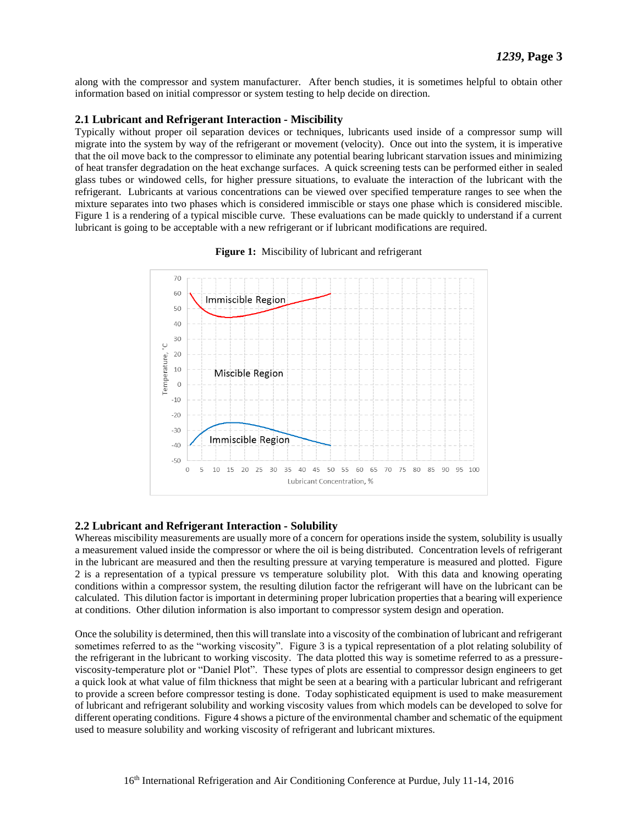along with the compressor and system manufacturer. After bench studies, it is sometimes helpful to obtain other information based on initial compressor or system testing to help decide on direction.

## **2.1 Lubricant and Refrigerant Interaction - Miscibility**

Typically without proper oil separation devices or techniques, lubricants used inside of a compressor sump will migrate into the system by way of the refrigerant or movement (velocity). Once out into the system, it is imperative that the oil move back to the compressor to eliminate any potential bearing lubricant starvation issues and minimizing of heat transfer degradation on the heat exchange surfaces. A quick screening tests can be performed either in sealed glass tubes or windowed cells, for higher pressure situations, to evaluate the interaction of the lubricant with the refrigerant. Lubricants at various concentrations can be viewed over specified temperature ranges to see when the mixture separates into two phases which is considered immiscible or stays one phase which is considered miscible. Figure 1 is a rendering of a typical miscible curve. These evaluations can be made quickly to understand if a current lubricant is going to be acceptable with a new refrigerant or if lubricant modifications are required.



**Figure 1:** Miscibility of lubricant and refrigerant

## **2.2 Lubricant and Refrigerant Interaction - Solubility**

Whereas miscibility measurements are usually more of a concern for operations inside the system, solubility is usually a measurement valued inside the compressor or where the oil is being distributed. Concentration levels of refrigerant in the lubricant are measured and then the resulting pressure at varying temperature is measured and plotted. Figure 2 is a representation of a typical pressure vs temperature solubility plot. With this data and knowing operating conditions within a compressor system, the resulting dilution factor the refrigerant will have on the lubricant can be calculated. This dilution factor is important in determining proper lubrication properties that a bearing will experience at conditions. Other dilution information is also important to compressor system design and operation.

Once the solubility is determined, then this will translate into a viscosity of the combination of lubricant and refrigerant sometimes referred to as the "working viscosity". Figure 3 is a typical representation of a plot relating solubility of the refrigerant in the lubricant to working viscosity. The data plotted this way is sometime referred to as a pressureviscosity-temperature plot or "Daniel Plot". These types of plots are essential to compressor design engineers to get a quick look at what value of film thickness that might be seen at a bearing with a particular lubricant and refrigerant to provide a screen before compressor testing is done. Today sophisticated equipment is used to make measurement of lubricant and refrigerant solubility and working viscosity values from which models can be developed to solve for different operating conditions. Figure 4 shows a picture of the environmental chamber and schematic of the equipment used to measure solubility and working viscosity of refrigerant and lubricant mixtures.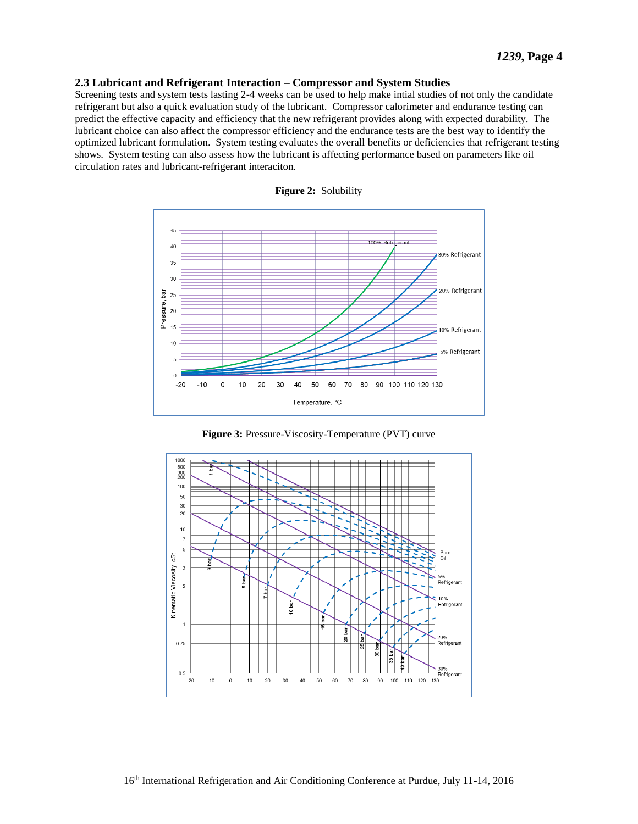#### **2.3 Lubricant and Refrigerant Interaction – Compressor and System Studies**

Screening tests and system tests lasting 2-4 weeks can be used to help make intial studies of not only the candidate refrigerant but also a quick evaluation study of the lubricant. Compressor calorimeter and endurance testing can predict the effective capacity and efficiency that the new refrigerant provides along with expected durability. The lubricant choice can also affect the compressor efficiency and the endurance tests are the best way to identify the optimized lubricant formulation. System testing evaluates the overall benefits or deficiencies that refrigerant testing shows. System testing can also assess how the lubricant is affecting performance based on parameters like oil circulation rates and lubricant-refrigerant interaciton.







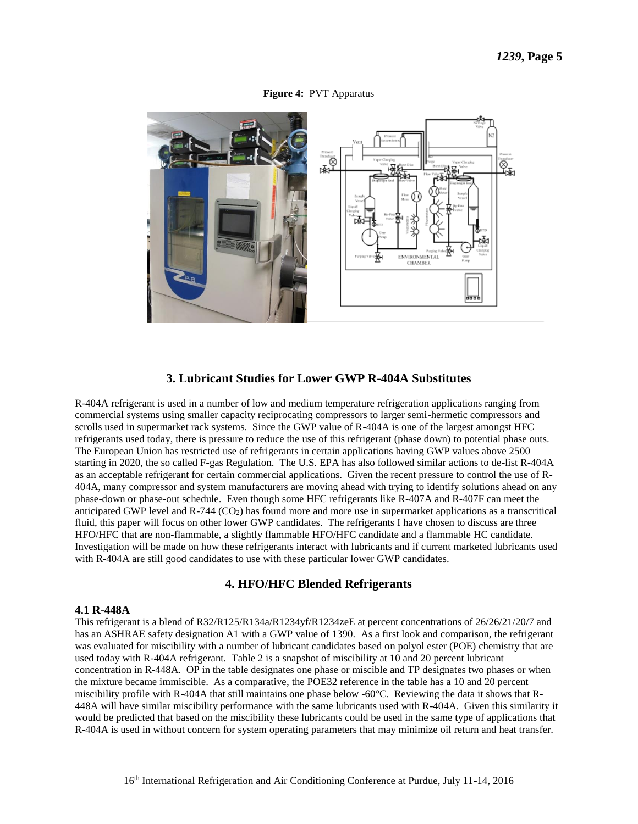#### **Figure 4:** PVT Apparatus





## **3. Lubricant Studies for Lower GWP R-404A Substitutes**

R-404A refrigerant is used in a number of low and medium temperature refrigeration applications ranging from commercial systems using smaller capacity reciprocating compressors to larger semi-hermetic compressors and scrolls used in supermarket rack systems. Since the GWP value of R-404A is one of the largest amongst HFC refrigerants used today, there is pressure to reduce the use of this refrigerant (phase down) to potential phase outs. The European Union has restricted use of refrigerants in certain applications having GWP values above 2500 starting in 2020, the so called F-gas Regulation. The U.S. EPA has also followed similar actions to de-list R-404A as an acceptable refrigerant for certain commercial applications. Given the recent pressure to control the use of R-404A, many compressor and system manufacturers are moving ahead with trying to identify solutions ahead on any phase-down or phase-out schedule. Even though some HFC refrigerants like R-407A and R-407F can meet the anticipated GWP level and  $R-744$  (CO<sub>2</sub>) has found more and more use in supermarket applications as a transcritical fluid, this paper will focus on other lower GWP candidates. The refrigerants I have chosen to discuss are three HFO/HFC that are non-flammable, a slightly flammable HFO/HFC candidate and a flammable HC candidate. Investigation will be made on how these refrigerants interact with lubricants and if current marketed lubricants used with R-404A are still good candidates to use with these particular lower GWP candidates.

## **4. HFO/HFC Blended Refrigerants**

#### **4.1 R-448A**

This refrigerant is a blend of R32/R125/R134a/R1234yf/R1234zeE at percent concentrations of 26/26/21/20/7 and has an ASHRAE safety designation A1 with a GWP value of 1390. As a first look and comparison, the refrigerant was evaluated for miscibility with a number of lubricant candidates based on polyol ester (POE) chemistry that are used today with R-404A refrigerant. Table 2 is a snapshot of miscibility at 10 and 20 percent lubricant concentration in R-448A. OP in the table designates one phase or miscible and TP designates two phases or when the mixture became immiscible. As a comparative, the POE32 reference in the table has a 10 and 20 percent miscibility profile with R-404A that still maintains one phase below -60°C. Reviewing the data it shows that R-448A will have similar miscibility performance with the same lubricants used with R-404A. Given this similarity it would be predicted that based on the miscibility these lubricants could be used in the same type of applications that R-404A is used in without concern for system operating parameters that may minimize oil return and heat transfer.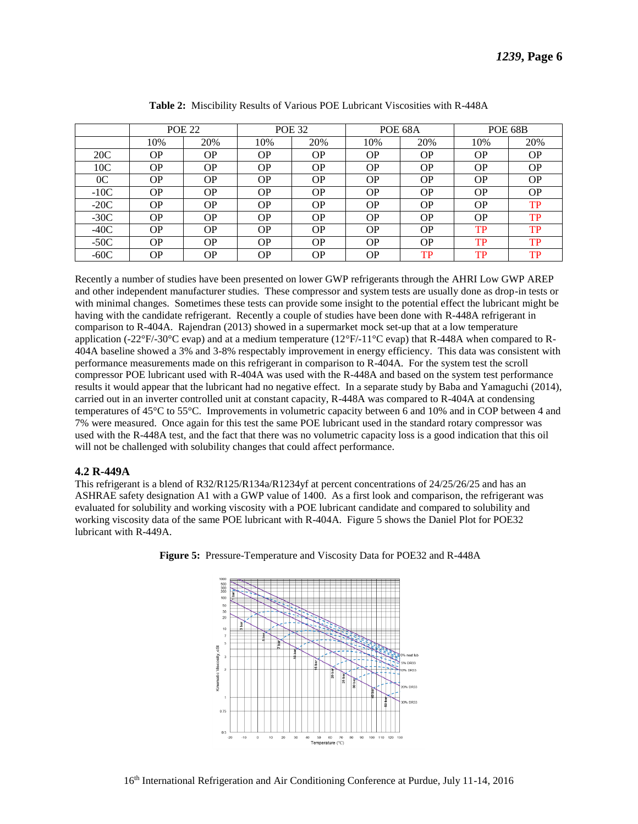*1239***, Page 6**

|                |           | <b>POE 22</b> |           | <b>POE 32</b> |           | POE 68A   | <b>POE 68B</b> |           |
|----------------|-----------|---------------|-----------|---------------|-----------|-----------|----------------|-----------|
|                | 10%       | 20%           | 10%       | 20%           | 10%       | 20%       | 10%            | 20%       |
| 20C            | ΟP        | OΡ            | <b>OP</b> | <b>OP</b>     | <b>OP</b> | <b>OP</b> | <b>OP</b>      | <b>OP</b> |
| 10C            | <b>OP</b> | <b>OP</b>     | OΡ        | OΡ            | <b>OP</b> | <b>OP</b> | <b>OP</b>      | <b>OP</b> |
| 0 <sup>C</sup> | OР        | <b>OP</b>     | <b>OP</b> | <b>OP</b>     | OΡ        | <b>OP</b> | <b>OP</b>      | <b>OP</b> |
| $-10C$         | ΟP        | <b>OP</b>     | <b>OP</b> | OΡ            | OΡ        | <b>OP</b> | <b>OP</b>      | <b>OP</b> |
| $-20C$         | <b>OP</b> | <b>OP</b>     | OP.       | <b>OP</b>     | OΡ        | <b>OP</b> | <b>OP</b>      | TP        |
| $-30C$         | ΟP        | OΡ            | <b>OP</b> | <b>OP</b>     | <b>OP</b> | <b>OP</b> | <b>OP</b>      | TP        |
| $-40C$         | OΡ        | <b>OP</b>     | OΡ        | <b>OP</b>     | OΡ        | <b>OP</b> | TP             | TP        |
| $-50C$         | ΟP        | <b>OP</b>     | <b>OP</b> | OΡ            | OΡ        | <b>OP</b> | TP             | TP        |
| $-60C$         | ΟP        | OΡ            | <b>OP</b> | OΡ            | OΡ        | TP        | TP             | TP        |

|  |  |  |  |  | <b>Table 2:</b> Miscibility Results of Various POE Lubricant Viscosities with R-448A |  |  |  |
|--|--|--|--|--|--------------------------------------------------------------------------------------|--|--|--|
|--|--|--|--|--|--------------------------------------------------------------------------------------|--|--|--|

Recently a number of studies have been presented on lower GWP refrigerants through the AHRI Low GWP AREP and other independent manufacturer studies. These compressor and system tests are usually done as drop-in tests or with minimal changes. Sometimes these tests can provide some insight to the potential effect the lubricant might be having with the candidate refrigerant. Recently a couple of studies have been done with R-448A refrigerant in comparison to R-404A. Rajendran (2013) showed in a supermarket mock set-up that at a low temperature application (-22°F/-30°C evap) and at a medium temperature (12°F/-11°C evap) that R-448A when compared to R-404A baseline showed a 3% and 3-8% respectably improvement in energy efficiency. This data was consistent with performance measurements made on this refrigerant in comparison to R-404A. For the system test the scroll compressor POE lubricant used with R-404A was used with the R-448A and based on the system test performance results it would appear that the lubricant had no negative effect. In a separate study by Baba and Yamaguchi (2014), carried out in an inverter controlled unit at constant capacity, R-448A was compared to R-404A at condensing temperatures of 45°C to 55°C. Improvements in volumetric capacity between 6 and 10% and in COP between 4 and 7% were measured. Once again for this test the same POE lubricant used in the standard rotary compressor was used with the R-448A test, and the fact that there was no volumetric capacity loss is a good indication that this oil will not be challenged with solubility changes that could affect performance.

### **4.2 R-449A**

This refrigerant is a blend of R32/R125/R134a/R1234yf at percent concentrations of 24/25/26/25 and has an ASHRAE safety designation A1 with a GWP value of 1400. As a first look and comparison, the refrigerant was evaluated for solubility and working viscosity with a POE lubricant candidate and compared to solubility and working viscosity data of the same POE lubricant with R-404A. Figure 5 shows the Daniel Plot for POE32 lubricant with R-449A.



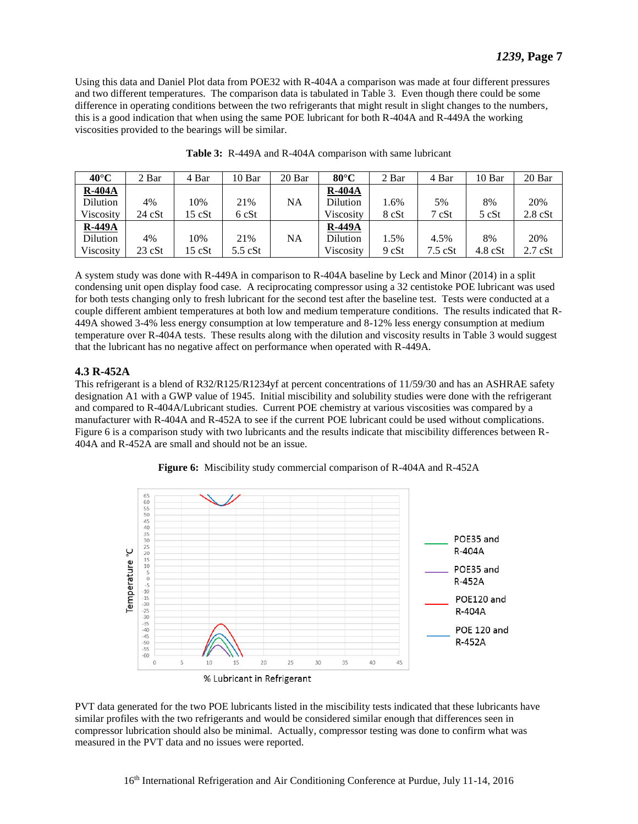Using this data and Daniel Plot data from POE32 with R-404A a comparison was made at four different pressures and two different temperatures. The comparison data is tabulated in Table 3. Even though there could be some difference in operating conditions between the two refrigerants that might result in slight changes to the numbers, this is a good indication that when using the same POE lubricant for both R-404A and R-449A the working viscosities provided to the bearings will be similar.

| $40^{\circ}$ C | 2 Bar            | 4 Bar  | 10 Bar      | 20 Bar | $80^{\circ}$ C | 2 Bar | 4 Bar     | 10 Bar            | 20 Bar            |
|----------------|------------------|--------|-------------|--------|----------------|-------|-----------|-------------------|-------------------|
| $R-404A$       |                  |        |             |        | <b>R-404A</b>  |       |           |                   |                   |
| Dilution       | 4%               | 10%    | 21%         | NA.    | Dilution       | 1.6%  | 5%        | 8%                | 20%               |
| Viscosity      | 24 cSt           | 15 cSt | 6 cSt       |        | Viscositv      | 8 cSt | 7 cSt     | 5 cSt             | $2.8 \text{ cSt}$ |
| <b>R-449A</b>  |                  |        |             |        | <b>R-449A</b>  |       |           |                   |                   |
| Dilution       | 4%               | 10%    | 21%         | NA     | Dilution       | l.5%  | 4.5%      | 8%                | 20%               |
| Viscosity      | $23 \text{ cSt}$ | 15 cSt | $5.5$ $cSt$ |        | Viscosity      | 9 cSt | $7.5$ cSt | $4.8 \text{ cSt}$ | $2.7$ $cSt$       |

| Table 3: R-449A and R-404A comparison with same lubricant |
|-----------------------------------------------------------|
|-----------------------------------------------------------|

A system study was done with R-449A in comparison to R-404A baseline by Leck and Minor (2014) in a split condensing unit open display food case. A reciprocating compressor using a 32 centistoke POE lubricant was used for both tests changing only to fresh lubricant for the second test after the baseline test. Tests were conducted at a couple different ambient temperatures at both low and medium temperature conditions. The results indicated that R-449A showed 3-4% less energy consumption at low temperature and 8-12% less energy consumption at medium temperature over R-404A tests. These results along with the dilution and viscosity results in Table 3 would suggest that the lubricant has no negative affect on performance when operated with R-449A.

## **4.3 R-452A**

This refrigerant is a blend of R32/R125/R1234yf at percent concentrations of 11/59/30 and has an ASHRAE safety designation A1 with a GWP value of 1945. Initial miscibility and solubility studies were done with the refrigerant and compared to R-404A/Lubricant studies. Current POE chemistry at various viscosities was compared by a manufacturer with R-404A and R-452A to see if the current POE lubricant could be used without complications. Figure 6 is a comparison study with two lubricants and the results indicate that miscibility differences between R-404A and R-452A are small and should not be an issue.





PVT data generated for the two POE lubricants listed in the miscibility tests indicated that these lubricants have similar profiles with the two refrigerants and would be considered similar enough that differences seen in compressor lubrication should also be minimal. Actually, compressor testing was done to confirm what was measured in the PVT data and no issues were reported.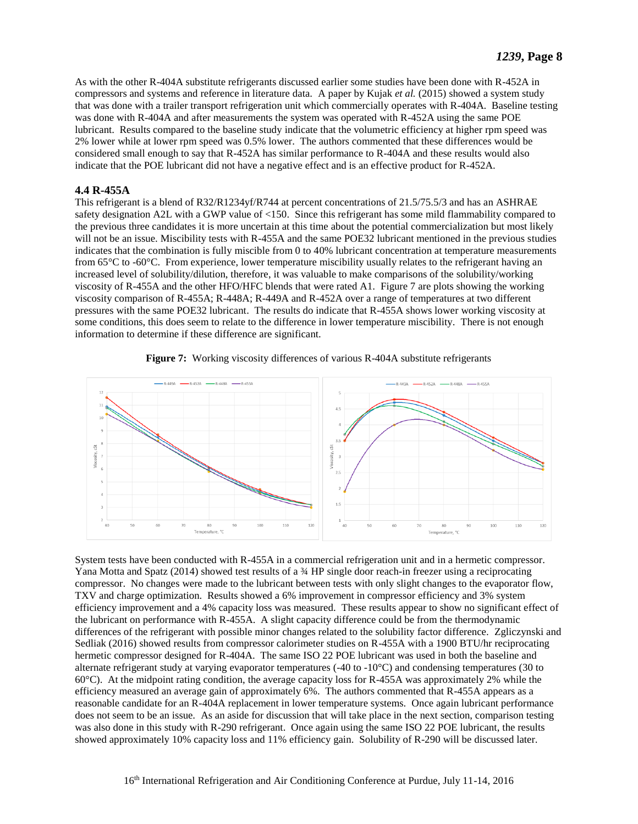As with the other R-404A substitute refrigerants discussed earlier some studies have been done with R-452A in compressors and systems and reference in literature data. A paper by Kujak *et al.* (2015) showed a system study that was done with a trailer transport refrigeration unit which commercially operates with R-404A. Baseline testing was done with R-404A and after measurements the system was operated with R-452A using the same POE lubricant. Results compared to the baseline study indicate that the volumetric efficiency at higher rpm speed was 2% lower while at lower rpm speed was 0.5% lower. The authors commented that these differences would be considered small enough to say that R-452A has similar performance to R-404A and these results would also indicate that the POE lubricant did not have a negative effect and is an effective product for R-452A.

## **4.4 R-455A**

This refrigerant is a blend of R32/R1234yf/R744 at percent concentrations of 21.5/75.5/3 and has an ASHRAE safety designation A2L with a GWP value of <150. Since this refrigerant has some mild flammability compared to the previous three candidates it is more uncertain at this time about the potential commercialization but most likely will not be an issue. Miscibility tests with R-455A and the same POE32 lubricant mentioned in the previous studies indicates that the combination is fully miscible from 0 to 40% lubricant concentration at temperature measurements from 65°C to -60°C. From experience, lower temperature miscibility usually relates to the refrigerant having an increased level of solubility/dilution, therefore, it was valuable to make comparisons of the solubility/working viscosity of R-455A and the other HFO/HFC blends that were rated A1. Figure 7 are plots showing the working viscosity comparison of R-455A; R-448A; R-449A and R-452A over a range of temperatures at two different pressures with the same POE32 lubricant. The results do indicate that R-455A shows lower working viscosity at some conditions, this does seem to relate to the difference in lower temperature miscibility. There is not enough information to determine if these difference are significant.



**Figure 7:** Working viscosity differences of various R-404A substitute refrigerants

System tests have been conducted with R-455A in a commercial refrigeration unit and in a hermetic compressor. Yana Motta and Spatz (2014) showed test results of a ¾ HP single door reach-in freezer using a reciprocating compressor. No changes were made to the lubricant between tests with only slight changes to the evaporator flow, TXV and charge optimization. Results showed a 6% improvement in compressor efficiency and 3% system efficiency improvement and a 4% capacity loss was measured. These results appear to show no significant effect of the lubricant on performance with R-455A. A slight capacity difference could be from the thermodynamic differences of the refrigerant with possible minor changes related to the solubility factor difference. Zgliczynski and Sedliak (2016) showed results from compressor calorimeter studies on R-455A with a 1900 BTU/hr reciprocating hermetic compressor designed for R-404A. The same ISO 22 POE lubricant was used in both the baseline and alternate refrigerant study at varying evaporator temperatures (-40 to -10°C) and condensing temperatures (30 to 60°C). At the midpoint rating condition, the average capacity loss for R-455A was approximately 2% while the efficiency measured an average gain of approximately 6%. The authors commented that R-455A appears as a reasonable candidate for an R-404A replacement in lower temperature systems. Once again lubricant performance does not seem to be an issue. As an aside for discussion that will take place in the next section, comparison testing was also done in this study with R-290 refrigerant. Once again using the same ISO 22 POE lubricant, the results showed approximately 10% capacity loss and 11% efficiency gain. Solubility of R-290 will be discussed later.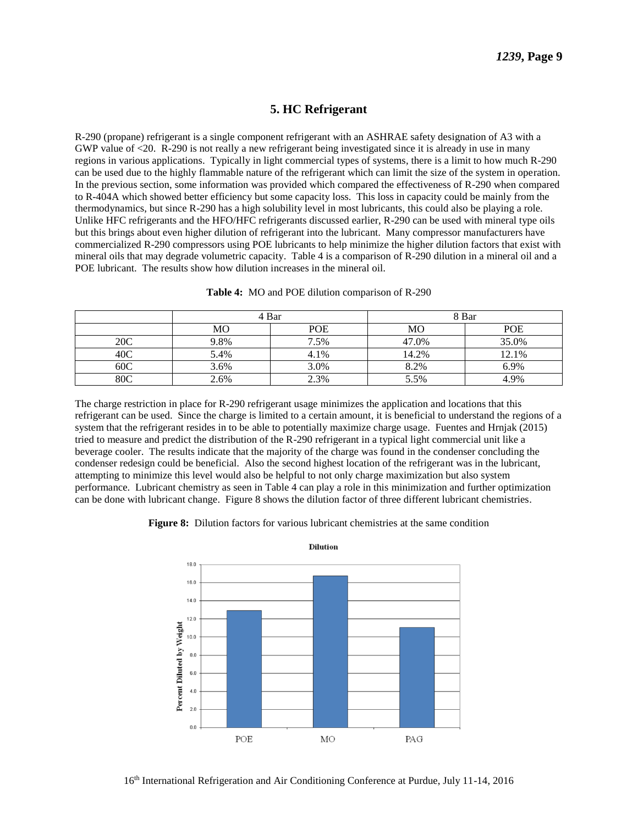## **5. HC Refrigerant**

R-290 (propane) refrigerant is a single component refrigerant with an ASHRAE safety designation of A3 with a GWP value of <20. R-290 is not really a new refrigerant being investigated since it is already in use in many regions in various applications. Typically in light commercial types of systems, there is a limit to how much R-290 can be used due to the highly flammable nature of the refrigerant which can limit the size of the system in operation. In the previous section, some information was provided which compared the effectiveness of R-290 when compared to R-404A which showed better efficiency but some capacity loss. This loss in capacity could be mainly from the thermodynamics, but since R-290 has a high solubility level in most lubricants, this could also be playing a role. Unlike HFC refrigerants and the HFO/HFC refrigerants discussed earlier, R-290 can be used with mineral type oils but this brings about even higher dilution of refrigerant into the lubricant. Many compressor manufacturers have commercialized R-290 compressors using POE lubricants to help minimize the higher dilution factors that exist with mineral oils that may degrade volumetric capacity. Table 4 is a comparison of R-290 dilution in a mineral oil and a POE lubricant. The results show how dilution increases in the mineral oil.

|     | 4 Bar |            | 8 Bar |       |  |
|-----|-------|------------|-------|-------|--|
|     | МO    | <b>POE</b> | MO    | POE   |  |
| 20C | 9.8%  | 7.5%       | 47.0% | 35.0% |  |
| 40C | 5.4%  | 4.1%       | 14.2% | 12.1% |  |
| 60C | 3.6%  | 3.0%       | 8.2%  | 6.9%  |  |
| 80C | 2.6%  | 2.3%       | 5.5%  | 4.9%  |  |

|  |  | Table 4: MO and POE dilution comparison of R-290 |  |  |
|--|--|--------------------------------------------------|--|--|
|--|--|--------------------------------------------------|--|--|

The charge restriction in place for R-290 refrigerant usage minimizes the application and locations that this refrigerant can be used. Since the charge is limited to a certain amount, it is beneficial to understand the regions of a system that the refrigerant resides in to be able to potentially maximize charge usage. Fuentes and Hrnjak (2015) tried to measure and predict the distribution of the R-290 refrigerant in a typical light commercial unit like a beverage cooler. The results indicate that the majority of the charge was found in the condenser concluding the condenser redesign could be beneficial. Also the second highest location of the refrigerant was in the lubricant, attempting to minimize this level would also be helpful to not only charge maximization but also system performance. Lubricant chemistry as seen in Table 4 can play a role in this minimization and further optimization can be done with lubricant change. Figure 8 shows the dilution factor of three different lubricant chemistries.